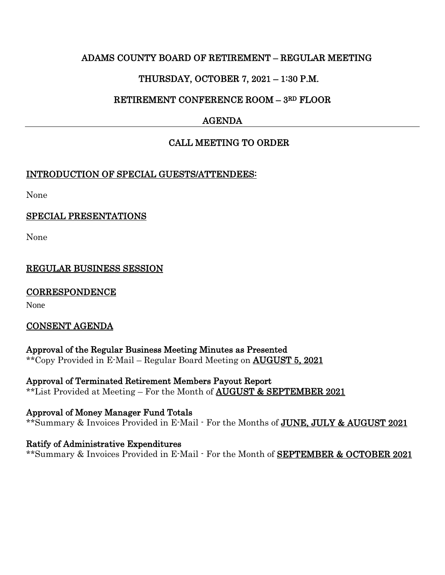### ADAMS COUNTY BOARD OF RETIREMENT – REGULAR MEETING

# THURSDAY, OCTOBER 7, 2021 – 1:30 P.M.

# RETIREMENT CONFERENCE ROOM – 3RD FLOOR

# AGENDA

# CALL MEETING TO ORDER

### INTRODUCTION OF SPECIAL GUESTS/ATTENDEES:

None

### SPECIAL PRESENTATIONS

None

## REGULAR BUSINESS SESSION

### **CORRESPONDENCE**

None

### CONSENT AGENDA

Approval of the Regular Business Meeting Minutes as Presented \*\*Copy Provided in E-Mail – Regular Board Meeting on AUGUST 5, 2021

Approval of Terminated Retirement Members Payout Report \*\*List Provided at Meeting – For the Month of AUGUST & SEPTEMBER 2021

Approval of Money Manager Fund Totals \*\*Summary & Invoices Provided in E-Mail - For the Months of **JUNE**, JULY & AUGUST 2021

Ratify of Administrative Expenditures \*\*Summary & Invoices Provided in E-Mail - For the Month of SEPTEMBER & OCTOBER 2021